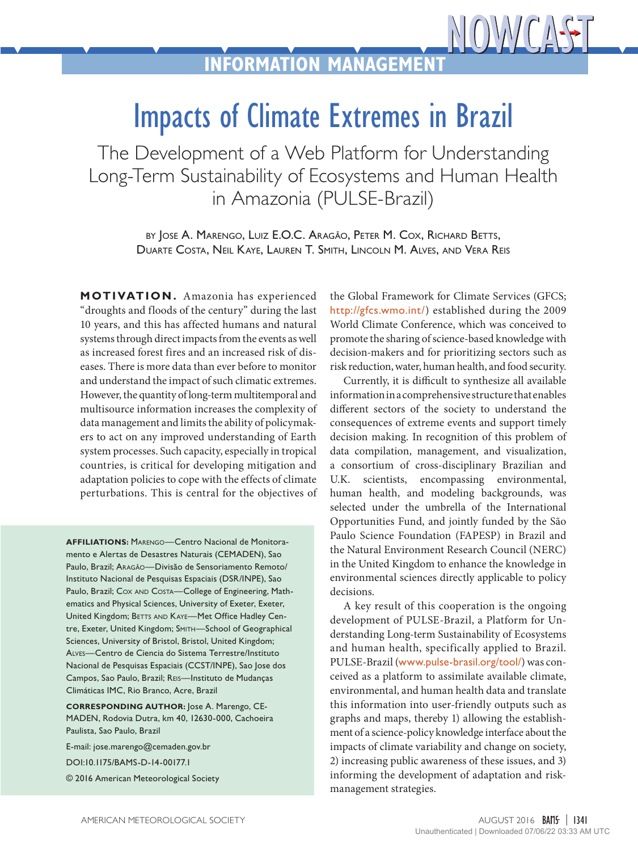## Impacts of Climate Extremes in Brazil

The Development of a Web Platform for Understanding Long-Term Sustainability of Ecosystems and Human Health in Amazonia (PULSE-Brazil)

> by Jose A. Marengo, Luiz E.O.C. Aragão, Peter M. Cox, Richard Betts, Duarte Costa, Neil Kaye, Lauren T. Smith, Lincoln M. Alves, and Vera Reis

**MOTIVATION.** Amazonia has experienced "droughts and floods of the century" during the last 10 years, and this has affected humans and natural systems through direct impacts from the events as well as increased forest fires and an increased risk of diseases. There is more data than ever before to monitor and understand the impact of such climatic extremes. However, the quantity of long-term multitemporal and multisource information increases the complexity of data management and limits the ability of policymakers to act on any improved understanding of Earth system processes. Such capacity, especially in tropical countries, is critical for developing mitigation and adaptation policies to cope with the effects of climate perturbations. This is central for the objectives of

**AFFILIATIONS:** Marengo—Centro Nacional de Monitoramento e Alertas de Desastres Naturais (CEMADEN), Sao Paulo, Brazil; Aragão—Divisão de Sensoriamento Remoto/ Instituto Nacional de Pesquisas Espaciais (DSR/INPE), Sao Paulo, Brazil; COX AND COSTA-College of Engineering, Mathematics and Physical Sciences, University of Exeter, Exeter, United Kingdom; BETTS AND KAYE-Met Office Hadley Centre, Exeter, United Kingdom; Smith—School of Geographical Sciences, University of Bristol, Bristol, United Kingdom; Alves—Centro de Ciencia do Sistema Terrestre/Instituto Nacional de Pesquisas Espaciais (CCST/INPE), Sao Jose dos Campos, Sao Paulo, Brazil; Reis—Instituto de Mudanças Climáticas IMC, Rio Branco, Acre, Brazil

**CORRESPONDING AUTHOR:** Jose A. Marengo, CE-MADEN, Rodovia Dutra, km 40, 12630-000, Cachoeira Paulista, Sao Paulo, Brazil

E-mail: [jose.marengo@cemaden.gov.br](mailto:jose.marengo%40cemaden.gov.br?subject=)

[DOI:10.1175/BAMS-D-14-00177.1](http://dx.doi.org/10.1175/BAMS-D-14-00177.1)

© 2016 American Meteorological Society

the Global Framework for Climate Services (GFCS; <http://gfcs.wmo.int/>) established during the 2009 World Climate Conference, which was conceived to promote the sharing of science-based knowledge with decision-makers and for prioritizing sectors such as risk reduction, water, human health, and food security.

Currently, it is difficult to synthesize all available information in a comprehensive structure that enables different sectors of the society to understand the consequences of extreme events and support timely decision making. In recognition of this problem of data compilation, management, and visualization, a consortium of cross-disciplinary Brazilian and U.K. scientists, encompassing environmental, human health, and modeling backgrounds, was selected under the umbrella of the International Opportunities Fund, and jointly funded by the São Paulo Science Foundation (FAPESP) in Brazil and the Natural Environment Research Council (NERC) in the United Kingdom to enhance the knowledge in environmental sciences directly applicable to policy decisions.

A key result of this cooperation is the ongoing development of PULSE-Brazil, a Platform for Understanding Long-term Sustainability of Ecosystems and human health, specifically applied to Brazil. PULSE-Brazil ([www.pulse-brasil.org/tool/](http://www.pulse-brasil.org/tool/)) was conceived as a platform to assimilate available climate, environmental, and human health data and translate this information into user-friendly outputs such as graphs and maps, thereby 1) allowing the establishment of a science-policy knowledge interface about the impacts of climate variability and change on society, 2) increasing public awareness of these issues, and 3) informing the development of adaptation and riskmanagement strategies.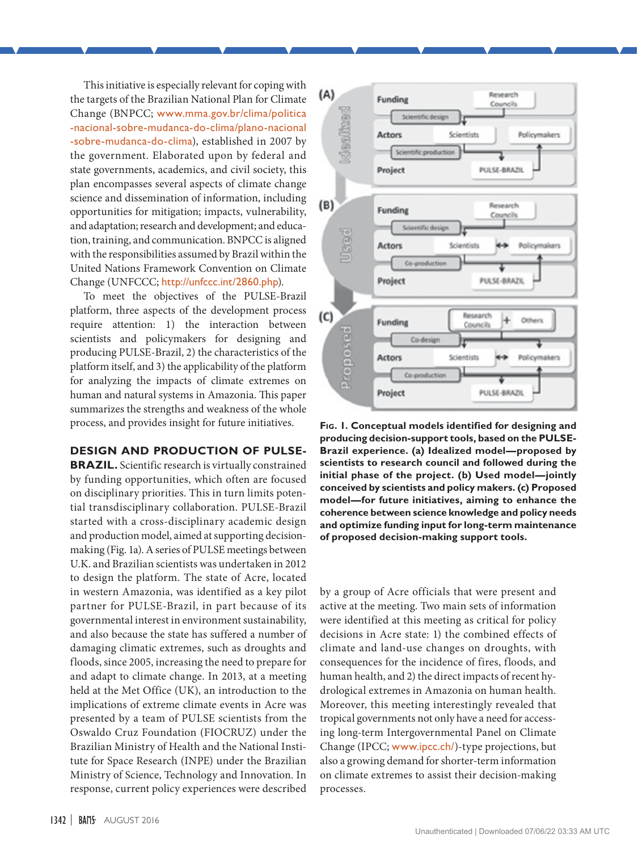This initiative is especially relevant for coping with the targets of the Brazilian National Plan for Climate Change (BNPCC; [www.mma.gov.br/clima/politica](http://www.mma.gov.br/clima/politica-nacional-sobre-mudanca-do-clima/plano-nacional-sobre-mudanca-do-clima) [-nacional-sobre-mudanca-do-clima/plano-nacional](http://www.mma.gov.br/clima/politica-nacional-sobre-mudanca-do-clima/plano-nacional-sobre-mudanca-do-clima) [-sobre-mudanca-do-clima](http://www.mma.gov.br/clima/politica-nacional-sobre-mudanca-do-clima/plano-nacional-sobre-mudanca-do-clima)), established in 2007 by the government. Elaborated upon by federal and state governments, academics, and civil society, this plan encompasses several aspects of climate change science and dissemination of information, including opportunities for mitigation; impacts, vulnerability, and adaptation; research and development; and education, training, and communication. BNPCC is aligned with the responsibilities assumed by Brazil within the United Nations Framework Convention on Climate Change (UNFCCC; <http://unfccc.int/2860.php>).

To meet the objectives of the PULSE-Brazil platform, three aspects of the development process require attention: 1) the interaction between scientists and policymakers for designing and producing PULSE-Brazil, 2) the characteristics of the platform itself, and 3) the applicability of the platform for analyzing the impacts of climate extremes on human and natural systems in Amazonia. This paper summarizes the strengths and weakness of the whole process, and provides insight for future initiatives.

## **DESIGN AND PRODUCTION OF PULSE-**

**BRAZIL.** Scientific research is virtually constrained by funding opportunities, which often are focused on disciplinary priorities. This in turn limits potential transdisciplinary collaboration. PULSE-Brazil started with a cross-disciplinary academic design and production model, aimed at supporting decisionmaking (Fig. 1a). A series of PULSE meetings between U.K. and Brazilian scientists was undertaken in 2012 to design the platform. The state of Acre, located in western Amazonia, was identified as a key pilot partner for PULSE-Brazil, in part because of its governmental interest in environment sustainability, and also because the state has suffered a number of damaging climatic extremes, such as droughts and floods, since 2005, increasing the need to prepare for and adapt to climate change. In 2013, at a meeting held at the Met Office (UK), an introduction to the implications of extreme climate events in Acre was presented by a team of PULSE scientists from the Oswaldo Cruz Foundation (FIOCRUZ) under the Brazilian Ministry of Health and the National Institute for Space Research (INPE) under the Brazilian Ministry of Science, Technology and Innovation. In response, current policy experiences were described



**Fig. 1. Conceptual models identified for designing and producing decision-support tools, based on the PULSE-Brazil experience. (a) Idealized model—proposed by scientists to research council and followed during the initial phase of the project. (b) Used model—jointly conceived by scientists and policy makers. (c) Proposed model—for future initiatives, aiming to enhance the coherence between science knowledge and policy needs and optimize funding input for long-term maintenance of proposed decision-making support tools.**

by a group of Acre officials that were present and active at the meeting. Two main sets of information were identified at this meeting as critical for policy decisions in Acre state: 1) the combined effects of climate and land-use changes on droughts, with consequences for the incidence of fires, floods, and human health, and 2) the direct impacts of recent hydrological extremes in Amazonia on human health. Moreover, this meeting interestingly revealed that tropical governments not only have a need for accessing long-term Intergovernmental Panel on Climate Change (IPCC; [www.ipcc.ch/](http://www.ipcc.ch/))-type projections, but also a growing demand for shorter-term information on climate extremes to assist their decision-making processes.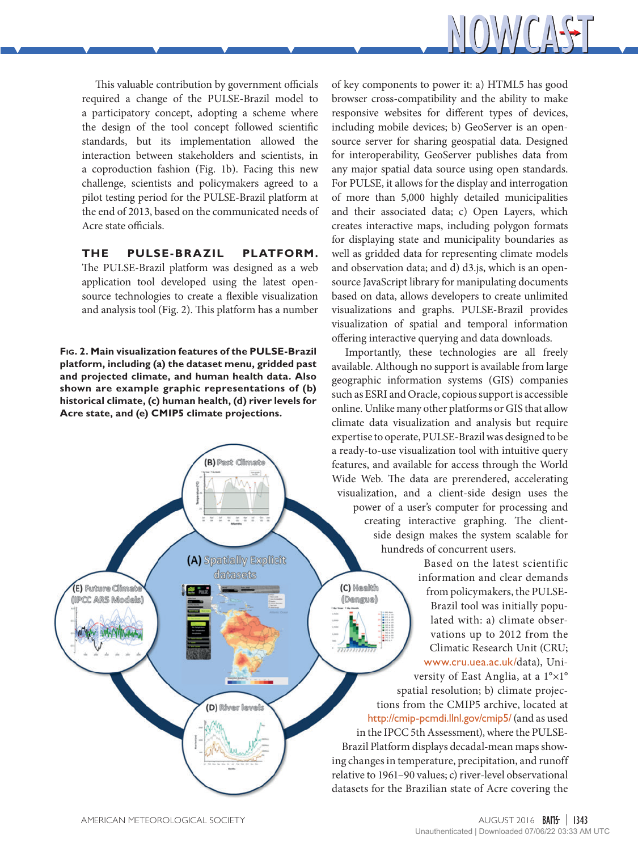

This valuable contribution by government officials required a change of the PULSE-Brazil model to a participatory concept, adopting a scheme where the design of the tool concept followed scientific standards, but its implementation allowed the interaction between stakeholders and scientists, in a coproduction fashion (Fig. 1b). Facing this new challenge, scientists and policymakers agreed to a pilot testing period for the PULSE-Brazil platform at the end of 2013, based on the communicated needs of Acre state officials.

**THE PULSE-BRAZIL PLATFORM.**  The PULSE-Brazil platform was designed as a web application tool developed using the latest opensource technologies to create a flexible visualization and analysis tool (Fig. 2). This platform has a number

**Fig. 2. Main visualization features of the PULSE-Brazil platform, including (a) the dataset menu, gridded past and projected climate, and human health data. Also shown are example graphic representations of (b) historical climate, (c) human health, (d) river levels for Acre state, and (e) CMIP5 climate projections.**

(B) Past Climate

(A) Spatially Explicit datasets

(D) River levels

of key components to power it: a) HTML5 has good browser cross-compatibility and the ability to make responsive websites for different types of devices, including mobile devices; b) GeoServer is an opensource server for sharing geospatial data. Designed for interoperability, GeoServer publishes data from any major spatial data source using open standards. For PULSE, it allows for the display and interrogation of more than 5,000 highly detailed municipalities and their associated data; c) Open Layers, which creates interactive maps, including polygon formats for displaying state and municipality boundaries as well as gridded data for representing climate models and observation data; and d) d3.js, which is an opensource JavaScript library for manipulating documents based on data, allows developers to create unlimited visualizations and graphs. PULSE-Brazil provides visualization of spatial and temporal information offering interactive querying and data downloads.

Importantly, these technologies are all freely available. Although no support is available from large geographic information systems (GIS) companies such as ESRI and Oracle, copious support is accessible online. Unlike many other platforms or GIS that allow climate data visualization and analysis but require expertise to operate, PULSE-Brazil was designed to be a ready-to-use visualization tool with intuitive query features, and available for access through the World Wide Web. The data are prerendered, accelerating visualization, and a client-side design uses the power of a user's computer for processing and creating interactive graphing. The clientside design makes the system scalable for hundreds of concurrent users.

(C) Mealth

(Dengue)

Based on the latest scientific information and clear demands from policymakers, the PULSE-Brazil tool was initially populated with: a) climate observations up to 2012 from the Climatic Research Unit (CRU; [www.cru.uea.ac.uk/](http://www.cru.uea.ac.uk/)data), Uni-

versity of East Anglia, at a 1°×1° spatial resolution; b) climate projections from the CMIP5 archive, located at <http://cmip-pcmdi.llnl.gov/cmip5/> (and as used in the IPCC 5th Assessment), where the PULSE-Brazil Platform displays decadal-mean maps showing changes in temperature, precipitation, and runoff relative to 1961–90 values; c) river-level observational datasets for the Brazilian state of Acre covering the

(E) Future Climat

(IPCC ARS Models)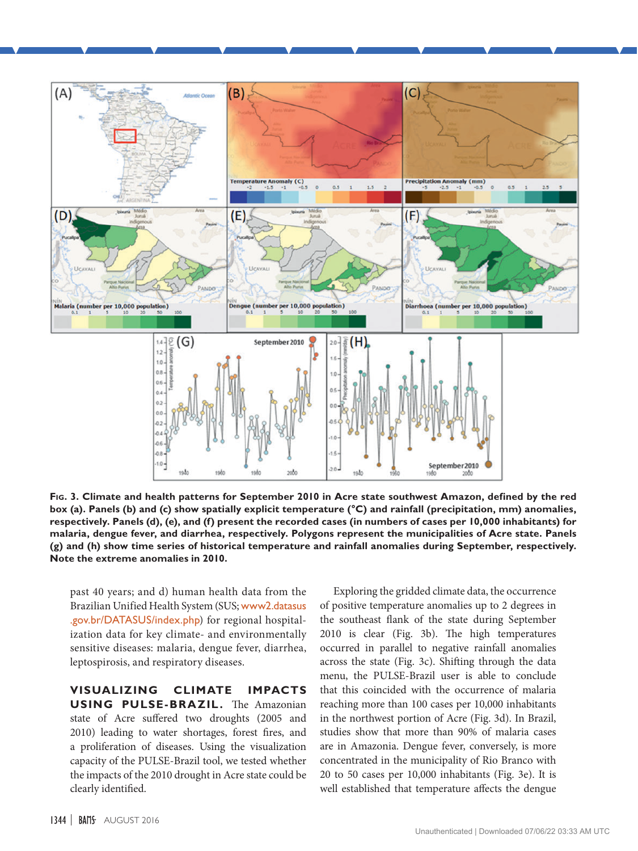

**Fig. 3. Climate and health patterns for September 2010 in Acre state southwest Amazon, defined by the red box (a). Panels (b) and (c) show spatially explicit temperature (°C) and rainfall (precipitation, mm) anomalies, respectively. Panels (d), (e), and (f) present the recorded cases (in numbers of cases per 10,000 inhabitants) for malaria, dengue fever, and diarrhea, respectively. Polygons represent the municipalities of Acre state. Panels (g) and (h) show time series of historical temperature and rainfall anomalies during September, respectively. Note the extreme anomalies in 2010.**

past 40 years; and d) human health data from the Brazilian Unified Health System (SUS; [www2.datasus](http://www2.datasus.gov.br/DATASUS/index.php) [.gov.br/DATASUS/index.php](http://www2.datasus.gov.br/DATASUS/index.php)) for regional hospitalization data for key climate- and environmentally sensitive diseases: malaria, dengue fever, diarrhea, leptospirosis, and respiratory diseases.

**VISUALIZING CLIMATE IMPACTS USING PULSE-BRAZIL.** The Amazonian state of Acre suffered two droughts (2005 and 2010) leading to water shortages, forest fires, and a proliferation of diseases. Using the visualization capacity of the PULSE-Brazil tool, we tested whether the impacts of the 2010 drought in Acre state could be clearly identified.

Exploring the gridded climate data, the occurrence of positive temperature anomalies up to 2 degrees in the southeast flank of the state during September 2010 is clear (Fig. 3b). The high temperatures occurred in parallel to negative rainfall anomalies across the state (Fig. 3c). Shifting through the data menu, the PULSE-Brazil user is able to conclude that this coincided with the occurrence of malaria reaching more than 100 cases per 10,000 inhabitants in the northwest portion of Acre (Fig. 3d). In Brazil, studies show that more than 90% of malaria cases are in Amazonia. Dengue fever, conversely, is more concentrated in the municipality of Rio Branco with 20 to 50 cases per 10,000 inhabitants (Fig. 3e). It is well established that temperature affects the dengue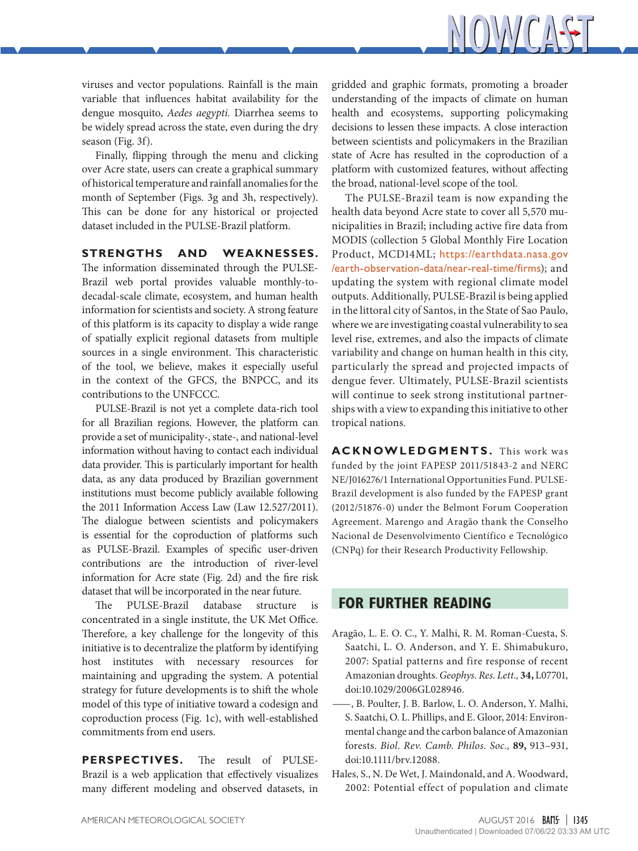

viruses and vector populations. Rainfall is the main variable that influences habitat availability for the dengue mosquito, *Aedes aegypti.* Diarrhea seems to be widely spread across the state, even during the dry season (Fig. 3f).

Finally, flipping through the menu and clicking over Acre state, users can create a graphical summary of historical temperature and rainfall anomalies for the month of September (Figs. 3g and 3h, respectively). This can be done for any historical or projected dataset included in the PULSE-Brazil platform.

## **STRENGTHS AND WEAKNESSES.**

The information disseminated through the PULSE-Brazil web portal provides valuable monthly-todecadal-scale climate, ecosystem, and human health information for scientists and society. A strong feature of this platform is its capacity to display a wide range of spatially explicit regional datasets from multiple sources in a single environment. This characteristic of the tool, we believe, makes it especially useful in the context of the GFCS, the BNPCC, and its contributions to the UNFCCC.

PULSE-Brazil is not yet a complete data-rich tool for all Brazilian regions. However, the platform can provide a set of municipality-, state-, and national-level information without having to contact each individual data provider. This is particularly important for health data, as any data produced by Brazilian government institutions must become publicly available following the 2011 Information Access Law (Law 12.527/2011). The dialogue between scientists and policymakers is essential for the coproduction of platforms such as PULSE-Brazil. Examples of specific user-driven contributions are the introduction of river-level information for Acre state (Fig. 2d) and the fire risk dataset that will be incorporated in the near future.

The PULSE-Brazil database structure is concentrated in a single institute, the UK Met Office. Therefore, a key challenge for the longevity of this initiative is to decentralize the platform by identifying host institutes with necessary resources for maintaining and upgrading the system. A potential strategy for future developments is to shift the whole model of this type of initiative toward a codesign and coproduction process (Fig. 1c), with well-established commitments from end users.

**PERSPECTIVES.** The result of PULSE-Brazil is a web application that effectively visualizes many different modeling and observed datasets, in gridded and graphic formats, promoting a broader understanding of the impacts of climate on human health and ecosystems, supporting policymaking decisions to lessen these impacts. A close interaction between scientists and policymakers in the Brazilian state of Acre has resulted in the coproduction of a platform with customized features, without affecting the broad, national-level scope of the tool.

The PULSE-Brazil team is now expanding the health data beyond Acre state to cover all 5,570 municipalities in Brazil; including active fire data from MODIS (collection 5 Global Monthly Fire Location Product, MCD14ML; [https://earthdata.nasa.gov](https://earthdata.nasa.gov/earth-observation-data/near-real-time/firms) [/earth-observation-data/near-real-time/firms](https://earthdata.nasa.gov/earth-observation-data/near-real-time/firms)); and updating the system with regional climate model outputs. Additionally, PULSE-Brazil is being applied in the littoral city of Santos, in the State of Sao Paulo, where we are investigating coastal vulnerability to sea level rise, extremes, and also the impacts of climate variability and change on human health in this city, particularly the spread and projected impacts of dengue fever. Ultimately, PULSE-Brazil scientists will continue to seek strong institutional partnerships with a view to expanding this initiative to other tropical nations.

**ACKNOWLEDGMENTS.** This work was funded by the joint FAPESP 2011/51843-2 and NERC NE/J016276/1 International Opportunities Fund. PULSE-Brazil development is also funded by the FAPESP grant (2012/51876-0) under the Belmont Forum Cooperation Agreement. Marengo and Aragão thank the Conselho Nacional de Desenvolvimento Científico e Tecnológico (CNPq) for their Research Productivity Fellowship.

## **FOR FURTHER READING**

- Aragão, L. E. O. C., Y. Malhi, R. M. Roman-Cuesta, S. Saatchi, L. O. Anderson, and Y. E. Shimabukuro, 2007: Spatial patterns and fire response of recent Amazonian droughts. *Geophys. Res. Lett.,* **34,** L07701, [doi:10.1029/2006GL028946](http://dx.doi.org/10.1029/2006GL028946).
- —, B. Poulter, J. B. Barlow, L. O. Anderson, Y. Malhi, S. Saatchi, O. L. Phillips, and E. Gloor, 2014: Environmental change and the carbon balance of Amazonian forests. *Biol. Rev. Camb. Philos. Soc.,* **89,** 913–931, [doi:10.1111/brv.12088.](http://dx.doi.org/10.1111/brv.12088)
- Hales, S., N. De Wet, J. Maindonald, and A. Woodward, 2002: Potential effect of population and climate